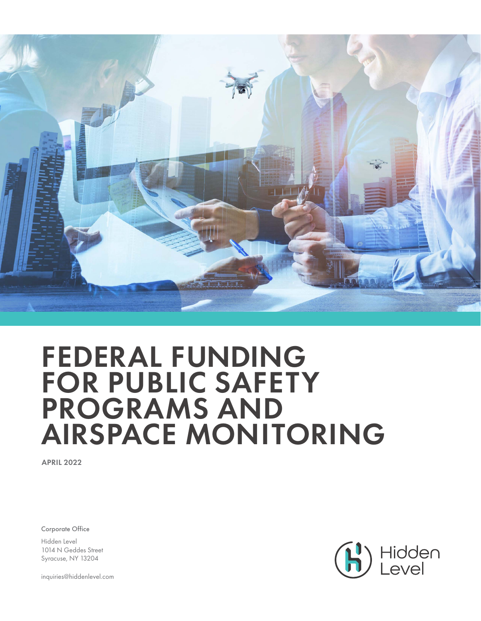

# FEDERAL FUNDING FOR PUBLIC SAFETY PROGRAMS AND AIRSPACE MONITORING

APRIL 2022

Corporate Office

Hidden Level 1014 N Geddes Street Syracuse, NY 13204

inquiries@hiddenlevel.com

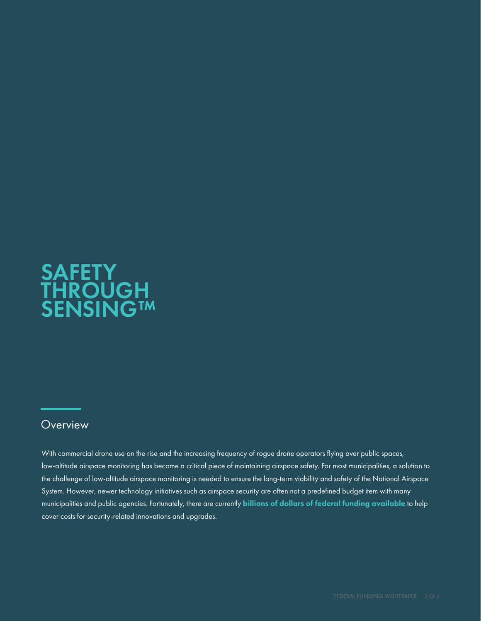## **SAFETY** THROUGH SENSING™

### **Overview**

With commercial drone use on the rise and the increasing frequency of rogue drone operators flying over public spaces, low-altitude airspace monitoring has become a critical piece of maintaining airspace safety. For most municipalities, a solution to the challenge of low-altitude airspace monitoring is needed to ensure the long-term viability and safety of the National Airspace System. However, newer technology initiatives such as airspace security are often not a predefined budget item with many municipalities and public agencies. Fortunately, there are currently billions of dollars of federal funding available to help cover costs for security-related innovations and upgrades.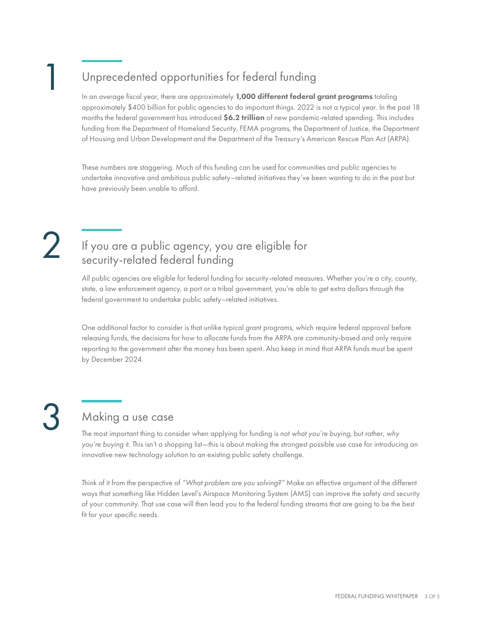## Unprecedented opportunities for federal funding

In an average fiscal year, there are approximately 1,000 different federal grant programs totaling approximately \$400 billion for public agencies to do important things. 2022 is not a typical year. In the past 18 months the federal government has introduced \$6.2 trillion of new pandemic-related spending. This includes funding from the Department of Homeland Security, FEMA programs, the Department of Justice, the Department of Housing and Urban Development and the Department of the Treasury's American Rescue Plan Act (ARPA).

These numbers are staggering. Much of this funding can be used for communities and public agencies to undertake innovative and ambitious public safety–related initiatives they've been wanting to do in the past but have previously been unable to afford.

1

## If you are a public agency, you are eligible for security-related federal funding

*All* public agencies are eligible for federal funding for security-related measures. Whether you're a city, county, state, a law enforcement agency, a port or a tribal government, you're able to get extra dollars through the federal government to undertake public safety–related initiatives.

One additional factor to consider is that unlike typical grant programs, which require federal approval before releasing funds, the decisions for how to allocate funds from the ARPA are community-based and only require reporting to the government after the money has been spent. Also keep in mind that ARPA funds must be spent by December 2024.

## Making a use case

3 The most important thing to consider when applying for funding is not *what you're buying*, but rather, *why you're buying* it. This isn't a shopping list—this is about making the strongest possible use case for introducing an innovative new technology solution to an existing public safety challenge.

Think of it from the perspective of *"What problem are you solving?"* Make an effective argument of the different ways that something like Hidden Level's Airspace Monitoring System (AMS) can improve the safety and security of your community. That use case will then lead you to the federal funding streams that are going to be the best fit for your specific needs.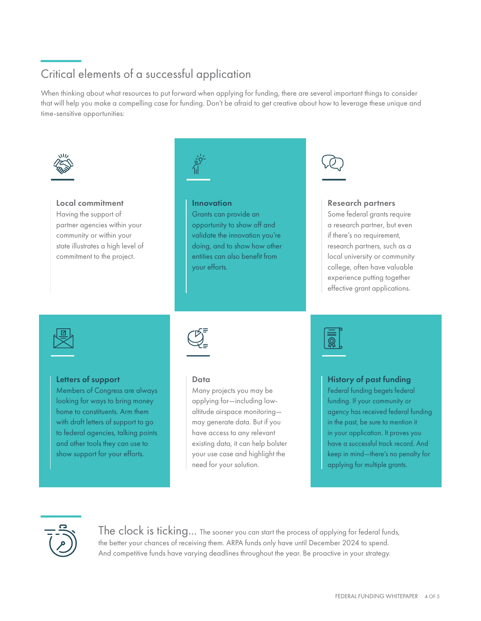## Critical elements of a successful application

When thinking about what resources to put forward when applying for funding, there are several important things to consider that will help you make a compelling case for funding. Don't be afraid to get creative about how to leverage these unique and time-sensitive opportunities:



#### Local commitment

Having the support of partner agencies within your community or within your state illustrates a high level of commitment to the project.



#### Innovation

Grants can provide an opportunity to show off and validate the innovation you're doing, and to show how other entities can also benefit from your efforts.



#### Research partners

Some federal grants require a research partner, but even if there's no requirement, research partners, such as a local university or community college, often have valuable experience putting together effective grant applications.



#### Letters of support

Members of Congress are always looking for ways to bring money home to constituents. Arm them with draft letters of support to go to federal agencies, talking points and other tools they can use to show support for your efforts.



#### Data

Many projects you may be applying for—including lowaltitude airspace monitoring may generate data. But if you have access to any relevant existing data, it can help bolster your use case and highlight the need for your solution.



#### History of past funding

Federal funding begets federal funding. If your community or agency has received federal funding in the past, be sure to mention it in your application. It proves you have a successful track record. And keep in mind—there's no penalty for applying for multiple grants.



The clock is ticking... The sooner you can start the process of applying for federal funds, the better your chances of receiving them. ARPA funds only have until December 2024 to spend. And competitive funds have varying deadlines throughout the year. Be proactive in your strategy.